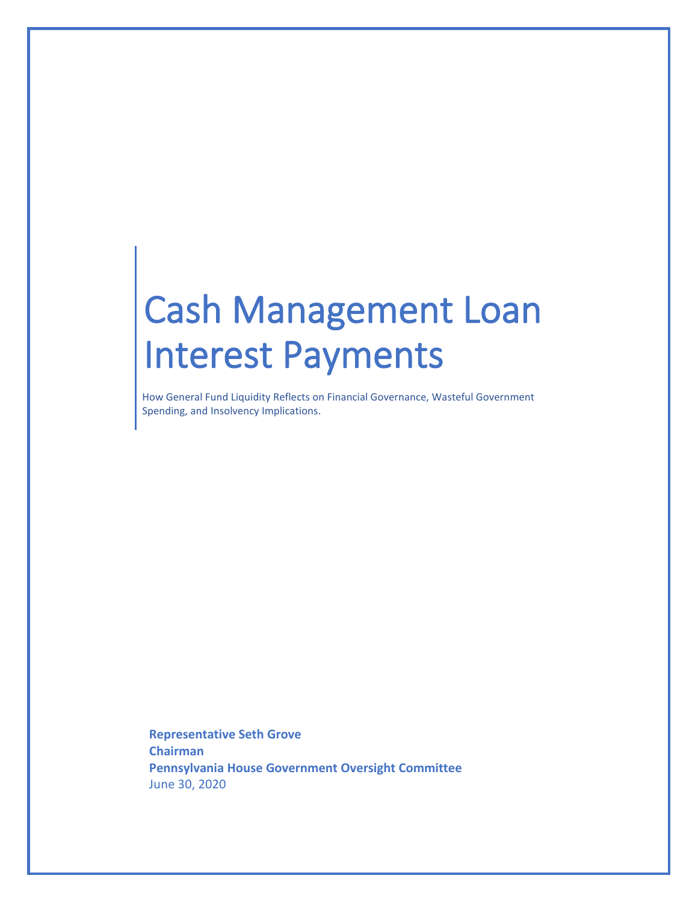# Cash Management Loan Interest Payments

How General Fund Liquidity Reflects on Financial Governance, Wasteful Government Spending, and Insolvency Implications.

**Representative Seth Grove Chairman Pennsylvania House Government Oversight Committee** June 30, 2020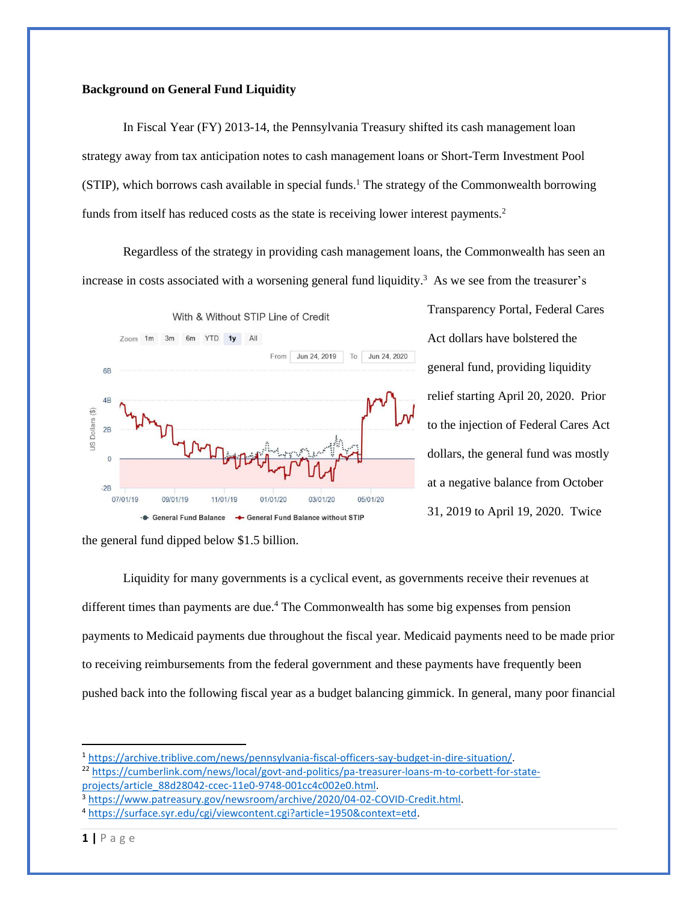#### **Background on General Fund Liquidity**

In Fiscal Year (FY) 2013-14, the Pennsylvania Treasury shifted its cash management loan strategy away from tax anticipation notes to cash management loans or Short-Term Investment Pool (STIP), which borrows cash available in special funds.<sup>1</sup> The strategy of the Commonwealth borrowing funds from itself has reduced costs as the state is receiving lower interest payments.<sup>2</sup>

Regardless of the strategy in providing cash management loans, the Commonwealth has seen an increase in costs associated with a worsening general fund liquidity.<sup>3</sup> As we see from the treasurer's



Transparency Portal, Federal Cares Act dollars have bolstered the general fund, providing liquidity relief starting April 20, 2020. Prior to the injection of Federal Cares Act dollars, the general fund was mostly at a negative balance from October 31, 2019 to April 19, 2020. Twice

Liquidity for many governments is a cyclical event, as governments receive their revenues at different times than payments are due.<sup>4</sup> The Commonwealth has some big expenses from pension payments to Medicaid payments due throughout the fiscal year. Medicaid payments need to be made prior to receiving reimbursements from the federal government and these payments have frequently been pushed back into the following fiscal year as a budget balancing gimmick. In general, many poor financial

<sup>22</sup> [https://cumberlink.com/news/local/govt-and-politics/pa-treasurer-loans-m-to-corbett-for-state](https://cumberlink.com/news/local/govt-and-politics/pa-treasurer-loans-m-to-corbett-for-state-projects/article_88d28042-ccec-11e0-9748-001cc4c002e0.html)[projects/article\\_88d28042-ccec-11e0-9748-001cc4c002e0.html.](https://cumberlink.com/news/local/govt-and-politics/pa-treasurer-loans-m-to-corbett-for-state-projects/article_88d28042-ccec-11e0-9748-001cc4c002e0.html)

the general fund dipped below \$1.5 billion.

<sup>1</sup> [https://archive.triblive.com/news/pennsylvania-fiscal-officers-say-budget-in-dire-situation/.](https://archive.triblive.com/news/pennsylvania-fiscal-officers-say-budget-in-dire-situation/)

<sup>3</sup> [https://www.patreasury.gov/newsroom/archive/2020/04-02-COVID-Credit.html.](https://www.patreasury.gov/newsroom/archive/2020/04-02-COVID-Credit.html)

<sup>4</sup> [https://surface.syr.edu/cgi/viewcontent.cgi?article=1950&context=etd.](https://surface.syr.edu/cgi/viewcontent.cgi?article=1950&context=etd)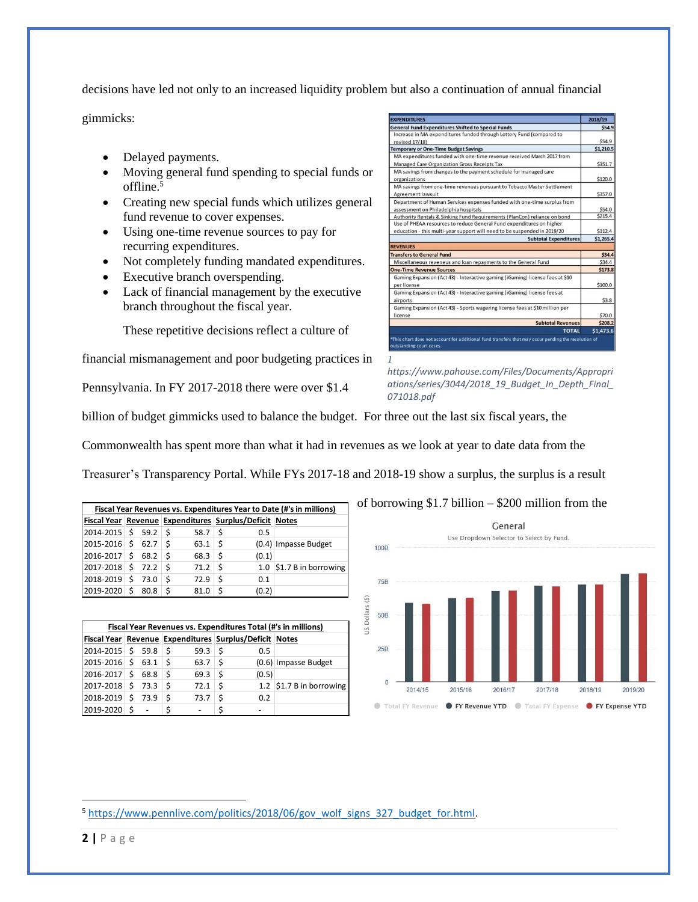decisions have led not only to an increased liquidity problem but also a continuation of annual financial

gimmicks:

- Delayed payments.
- Moving general fund spending to special funds or offline. 5
- Creating new special funds which utilizes general fund revenue to cover expenses.
- Using one-time revenue sources to pay for recurring expenditures.
- Not completely funding mandated expenditures.
- Executive branch overspending.
- Lack of financial management by the executive branch throughout the fiscal year.

These repetitive decisions reflect a culture of

financial mismanagement and poor budgeting practices in

Pennsylvania. In FY 2017-2018 there were over \$1.4

| <b>General Fund Expenditures Shifted to Special Funds</b>                              | \$54.9    |
|----------------------------------------------------------------------------------------|-----------|
| Increase in MA expenditures funded through Lottery Fund (compared to                   |           |
| revised 17/18)                                                                         | \$54.9    |
| <b>Temporary or One-Time Budget Savings</b>                                            | \$1,210.5 |
| MA expenditures funded with one-time revenue received March 2017 from                  |           |
| Managed Care Organization Gross Receipts Tax                                           | \$351.7   |
| MA savings from changes to the payment schedule for managed care                       |           |
| organizations                                                                          | \$120.0   |
| MA savings from one-time revenues pursuant to Tobacco Master Settlement                |           |
| Agreement lawsuit                                                                      | \$357.0   |
| Department of Human Services expenses funded with one-time surplus from                |           |
| assessment on Philadelphia hospitals                                                   | \$54.0    |
| Authority Rentals & Sinking Fund Requirements (PlanCon) reliance on bond               | \$215.4   |
|                                                                                        |           |
| Use of PHEAA resources to reduce General Fund expenditures on higher                   |           |
| education - this multi-year support will need to be suspended in 2019/20               | \$112.4   |
| <b>Subtotal Expenditures</b>                                                           | \$1,265.4 |
|                                                                                        |           |
|                                                                                        | \$34.4    |
| Miscellaneous reveneus and loan repayments to the General Fund                         | \$34.4    |
| <b>REVENUES</b><br><b>Transfers to General Fund</b><br><b>One-Time Revenue Sources</b> | \$173.8   |
| Gaming Expansion (Act 43) - Interactive gaming (iGaming) license fees at \$10          |           |
| per license                                                                            | \$100.0   |
| Gaming Expansion (Act 43) - Interactive gaming (iGaming) license fees at               |           |
| airports                                                                               | \$3.8     |
| Gaming Expansion (Act 43) - Sports wagering license fees at \$10 million per           |           |
| license                                                                                | \$70.0    |
| <b>Subtotal Revenues</b>                                                               | \$208.2   |

*https://www.pahouse.com/Files/Documents/Appropri ations/series/3044/2018\_19\_Budget\_In\_Depth\_Final\_ 071018.pdf*

billion of budget gimmicks used to balance the budget. For three out the last six fiscal years, the

Commonwealth has spent more than what it had in revenues as we look at year to date data from the

Treasurer's Transparency Portal. While FYs 2017-18 and 2018-19 show a surplus, the surplus is a result

*1*

| Fiscal Year Revenues vs. Expenditures Year to Date (#'s in millions) |  |          |                                                                |      |    |       |                                  |  |
|----------------------------------------------------------------------|--|----------|----------------------------------------------------------------|------|----|-------|----------------------------------|--|
|                                                                      |  |          | Fiscal Year   Revenue   Expenditures   Surplus/Deficit   Notes |      |    |       |                                  |  |
| $2014 - 2015$ \$ 59.2 \$                                             |  |          |                                                                | 58.7 | Ś  | 0.5   |                                  |  |
| $ 2015 - 2016 $ \$ 62.7                                              |  |          |                                                                | 63.1 | -Ś |       | (0.4) Impasse Budget             |  |
| $ 2016 - 2017 $ \$ 68.2 \ \$                                         |  |          |                                                                | 68.3 | S  | (0.1) |                                  |  |
| $ 2017-2018 $ \$ 72.2 $ $ \$                                         |  |          |                                                                | 71.2 | Ś  |       | 1.0 $\vert$ \$1.7 B in borrowing |  |
| 2018-2019                                                            |  | $5$ 73.0 | Ś                                                              | 72.9 |    | 0.1   |                                  |  |
| 2019-2020                                                            |  | 80.8     |                                                                | 81.0 |    | (0.2) |                                  |  |

| Fiscal Year Revenues vs. Expenditures Total (#'s in millions) |    |      |    |      |                                                        |       |                                  |  |  |  |
|---------------------------------------------------------------|----|------|----|------|--------------------------------------------------------|-------|----------------------------------|--|--|--|
|                                                               |    |      |    |      | Fiscal Year Revenue Expenditures Surplus/Deficit Notes |       |                                  |  |  |  |
| $ 2014 - 2015 $ \$ 59.8                                       |    |      | -S | 59.3 | S                                                      | 0.5   |                                  |  |  |  |
| $2015 - 2016$ \$                                              |    | 63.1 | -Ś | 63.7 | Ŝ                                                      |       | (0.6) Impasse Budget             |  |  |  |
| 2016-2017                                                     | \$ | 68.8 | .S | 69.3 | S                                                      | (0.5) |                                  |  |  |  |
| $ 2017-2018 $ \$ 73.3                                         |    |      | .S | 72.1 |                                                        |       | 1.2 $\vert$ \$1.7 B in borrowing |  |  |  |
| 2018-2019 \$                                                  |    | 73.9 | \$ | 73.7 |                                                        | 0.2   |                                  |  |  |  |
| 2019-2020                                                     |    | ٠    | \$ |      |                                                        |       |                                  |  |  |  |



<sup>5</sup> [https://www.pennlive.com/politics/2018/06/gov\\_wolf\\_signs\\_327\\_budget\\_for.html.](https://www.pennlive.com/politics/2018/06/gov_wolf_signs_327_budget_for.html)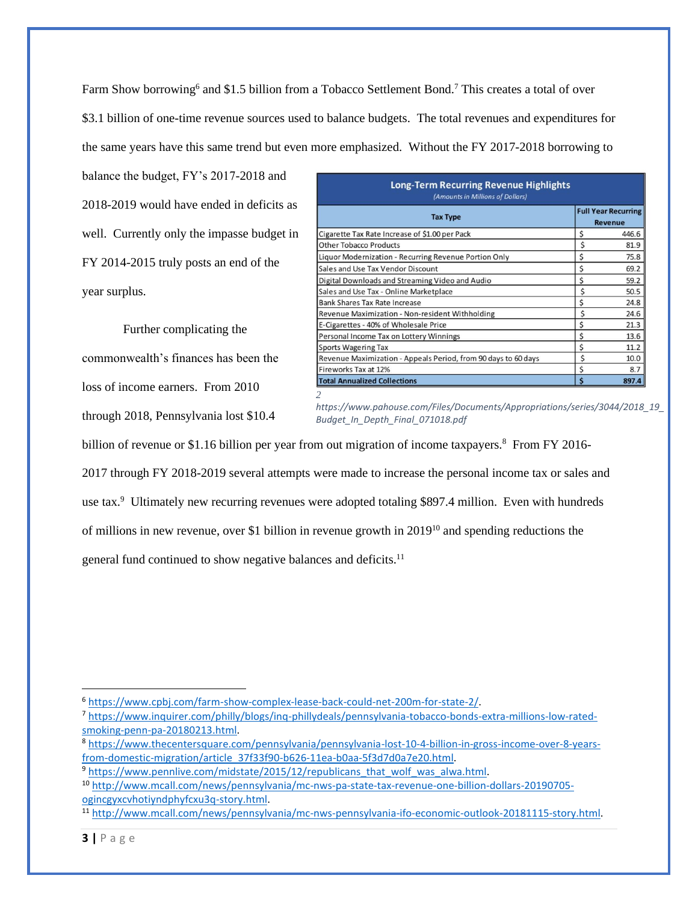Farm Show borrowing<sup>6</sup> and \$1.5 billion from a Tobacco Settlement Bond.<sup>7</sup> This creates a total of over \$3.1 billion of one-time revenue sources used to balance budgets. The total revenues and expenditures for the same years have this same trend but even more emphasized. Without the FY 2017-2018 borrowing to

balance the budget, FY's 2017-2018 and 2018-2019 would have ended in deficits as well. Currently only the impasse budget in FY 2014-2015 truly posts an end of the year surplus.

Further complicating the commonwealth's finances has been the loss of income earners. From 2010 through 2018, Pennsylvania lost \$10.4

| <b>Long-Term Recurring Revenue Highlights</b><br>(Amounts in Millions of Dollars) |    |                                              |  |  |
|-----------------------------------------------------------------------------------|----|----------------------------------------------|--|--|
| <b>Tax Type</b>                                                                   |    | <b>Full Year Recurring</b><br><b>Revenue</b> |  |  |
| Cigarette Tax Rate Increase of \$1.00 per Pack                                    | Ś  | 446.6                                        |  |  |
| <b>Other Tobacco Products</b>                                                     | Ś  | 81.9                                         |  |  |
| Liquor Modernization - Recurring Revenue Portion Only                             | Ś  | 75.8                                         |  |  |
| Sales and Use Tax Vendor Discount                                                 | Ś  | 69.2                                         |  |  |
| Digital Downloads and Streaming Video and Audio                                   | \$ | 59.2                                         |  |  |
| Sales and Use Tax - Online Marketplace                                            | \$ | 50.5                                         |  |  |
| Bank Shares Tax Rate Increase                                                     | Ś  | 24.8                                         |  |  |
| Revenue Maximization - Non-resident Withholding                                   | Ś  | 24.6                                         |  |  |
| E-Cigarettes - 40% of Wholesale Price                                             | \$ | 21.3                                         |  |  |
| Personal Income Tax on Lottery Winnings                                           | Ś  | 13.6                                         |  |  |
| <b>Sports Wagering Tax</b>                                                        | Ś  | 11.2                                         |  |  |
| Revenue Maximization - Appeals Period, from 90 days to 60 days                    | Ś  | 10.0                                         |  |  |
| Fireworks Tax at 12%                                                              | Ś  | 8.7                                          |  |  |
| <b>Total Annualized Collections</b>                                               | Ś  | 897.4                                        |  |  |

*2 https://www.pahouse.com/Files/Documents/Appropriations/series/3044/2018\_19\_ Budget\_In\_Depth\_Final\_071018.pdf*

billion of revenue or \$1.16 billion per year from out migration of income taxpayers.<sup>8</sup> From FY 2016-

2017 through FY 2018-2019 several attempts were made to increase the personal income tax or sales and

use tax.<sup>9</sup> Ultimately new recurring revenues were adopted totaling \$897.4 million. Even with hundreds

of millions in new revenue, over \$1 billion in revenue growth in 2019<sup>10</sup> and spending reductions the

general fund continued to show negative balances and deficits.<sup>11</sup>

<sup>6</sup> [https://www.cpbj.com/farm-show-complex-lease-back-could-net-200m-for-state-2/.](https://www.cpbj.com/farm-show-complex-lease-back-could-net-200m-for-state-2/)

<sup>7</sup> [https://www.inquirer.com/philly/blogs/inq-phillydeals/pennsylvania-tobacco-bonds-extra-millions-low-rated](https://www.inquirer.com/philly/blogs/inq-phillydeals/pennsylvania-tobacco-bonds-extra-millions-low-rated-smoking-penn-pa-20180213.html)[smoking-penn-pa-20180213.html.](https://www.inquirer.com/philly/blogs/inq-phillydeals/pennsylvania-tobacco-bonds-extra-millions-low-rated-smoking-penn-pa-20180213.html)

<sup>8</sup> [https://www.thecentersquare.com/pennsylvania/pennsylvania-lost-10-4-billion-in-gross-income-over-8-years](https://www.thecentersquare.com/pennsylvania/pennsylvania-lost-10-4-billion-in-gross-income-over-8-years-from-domestic-migration/article_37f33f90-b626-11ea-b0aa-5f3d7d0a7e20.html)[from-domestic-migration/article\\_37f33f90-b626-11ea-b0aa-5f3d7d0a7e20.html.](https://www.thecentersquare.com/pennsylvania/pennsylvania-lost-10-4-billion-in-gross-income-over-8-years-from-domestic-migration/article_37f33f90-b626-11ea-b0aa-5f3d7d0a7e20.html)

<sup>&</sup>lt;sup>9</sup> https://www.pennlive.com/midstate/2015/12/republicans\_that\_wolf\_was\_alwa.html.

<sup>10</sup> [http://www.mcall.com/news/pennsylvania/mc-nws-pa-state-tax-revenue-one-billion-dollars-20190705](http://www.mcall.com/news/pennsylvania/mc-nws-pa-state-tax-revenue-one-billion-dollars-20190705-ogincgyxcvhotiyndphyfcxu3q-story.html) [ogincgyxcvhotiyndphyfcxu3q-story.html.](http://www.mcall.com/news/pennsylvania/mc-nws-pa-state-tax-revenue-one-billion-dollars-20190705-ogincgyxcvhotiyndphyfcxu3q-story.html)

<sup>11</sup> [http://www.mcall.com/news/pennsylvania/mc-nws-pennsylvania-ifo-economic-outlook-20181115-story.html.](http://www.mcall.com/news/pennsylvania/mc-nws-pennsylvania-ifo-economic-outlook-20181115-story.html)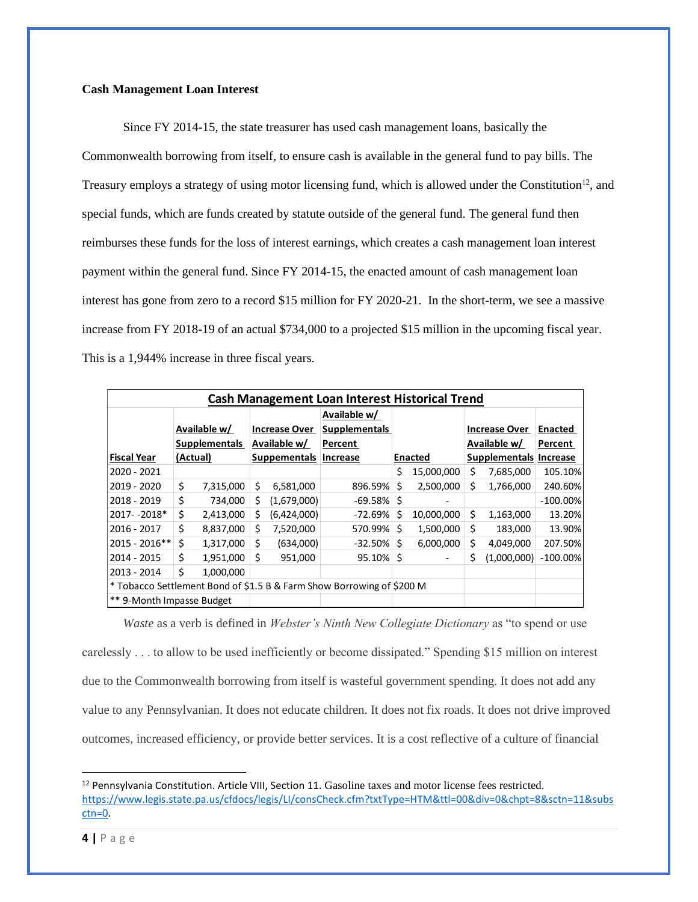#### **Cash Management Loan Interest**

Since FY 2014-15, the state treasurer has used cash management loans, basically the Commonwealth borrowing from itself, to ensure cash is available in the general fund to pay bills. The Treasury employs a strategy of using motor licensing fund, which is allowed under the Constitution<sup>12</sup>, and special funds, which are funds created by statute outside of the general fund. The general fund then reimburses these funds for the loss of interest earnings, which creates a cash management loan interest payment within the general fund. Since FY 2014-15, the enacted amount of cash management loan interest has gone from zero to a record \$15 million for FY 2020-21. In the short-term, we see a massive increase from FY 2018-19 of an actual \$734,000 to a projected \$15 million in the upcoming fiscal year. This is a 1,944% increase in three fiscal years.

| <b>Cash Management Loan Interest Historical Trend</b>                 |          |                      |    |                      |                      |    |                          |    |                        |                |
|-----------------------------------------------------------------------|----------|----------------------|----|----------------------|----------------------|----|--------------------------|----|------------------------|----------------|
|                                                                       |          |                      |    |                      | Available w/         |    |                          |    |                        |                |
|                                                                       |          | Available w/         |    | <b>Increase Over</b> | <b>Supplementals</b> |    |                          |    | <b>Increase Over</b>   | <b>Enacted</b> |
|                                                                       |          | <b>Supplementals</b> |    | Available w/         | Percent              |    |                          |    | Available w/           | Percent        |
| <b>Fiscal Year</b>                                                    | (Actual) |                      |    | <b>Suppementals</b>  | Increase             |    | <b>Enacted</b>           |    | Supplementals Increase |                |
| 2020 - 2021                                                           |          |                      |    |                      |                      | Ś. | 15,000,000               | Ś  | 7,685,000              | 105.10%        |
| 2019 - 2020                                                           | \$       | 7,315,000            | \$ | 6,581,000            | 896.59%              | \$ | 2,500,000                | Ś. | 1,766,000              | 240.60%        |
| 2018 - 2019                                                           | \$       | 734,000              | Ś. | (1,679,000)          | $-69.58\%$ \$        |    | -                        |    |                        | $-100.00\%$    |
| 2017-2018*                                                            | \$       | 2,413,000            | Ś. | (6,424,000)          | $-72.69%$            | \$ | 10,000,000               | Ś. | 1,163,000              | 13.20%         |
| 2016 - 2017                                                           | \$       | 8,837,000            | Ś. | 7,520,000            | 570.99%              | Ŝ. | 1,500,000                | Ś  | 183,000                | 13.90%         |
| 2015 - 2016 **                                                        | Ś.       | 1,317,000            | Ś  | (634,000)            | $-32.50%$            | Ś. | 6,000,000                | Ś  | 4,049,000              | 207.50%        |
| 2014 - 2015                                                           | Ś.       | 1,951,000            | Ś. | 951,000              | $95.10\%$ \$         |    | $\overline{\phantom{a}}$ | \$ | (1,000,000)            | $-100.00\%$    |
| 2013 - 2014                                                           | \$       | 1,000,000            |    |                      |                      |    |                          |    |                        |                |
| * Tobacco Settlement Bond of \$1.5 B & Farm Show Borrowing of \$200 M |          |                      |    |                      |                      |    |                          |    |                        |                |
| ** 9-Month Impasse Budget                                             |          |                      |    |                      |                      |    |                          |    |                        |                |

*Waste* as a verb is defined in *Webster's Ninth New Collegiate Dictionary* as "to spend or use carelessly . . . to allow to be used inefficiently or become dissipated." Spending \$15 million on interest due to the Commonwealth borrowing from itself is wasteful government spending. It does not add any value to any Pennsylvanian. It does not educate children. It does not fix roads. It does not drive improved outcomes, increased efficiency, or provide better services. It is a cost reflective of a culture of financial

<sup>&</sup>lt;sup>12</sup> Pennsylvania Constitution. Article VIII, Section 11. Gasoline taxes and motor license fees restricted. [https://www.legis.state.pa.us/cfdocs/legis/LI/consCheck.cfm?txtType=HTM&ttl=00&div=0&chpt=8&sctn=11&subs](https://www.legis.state.pa.us/cfdocs/legis/LI/consCheck.cfm?txtType=HTM&ttl=00&div=0&chpt=8&sctn=11&subsctn=0) [ctn=0.](https://www.legis.state.pa.us/cfdocs/legis/LI/consCheck.cfm?txtType=HTM&ttl=00&div=0&chpt=8&sctn=11&subsctn=0)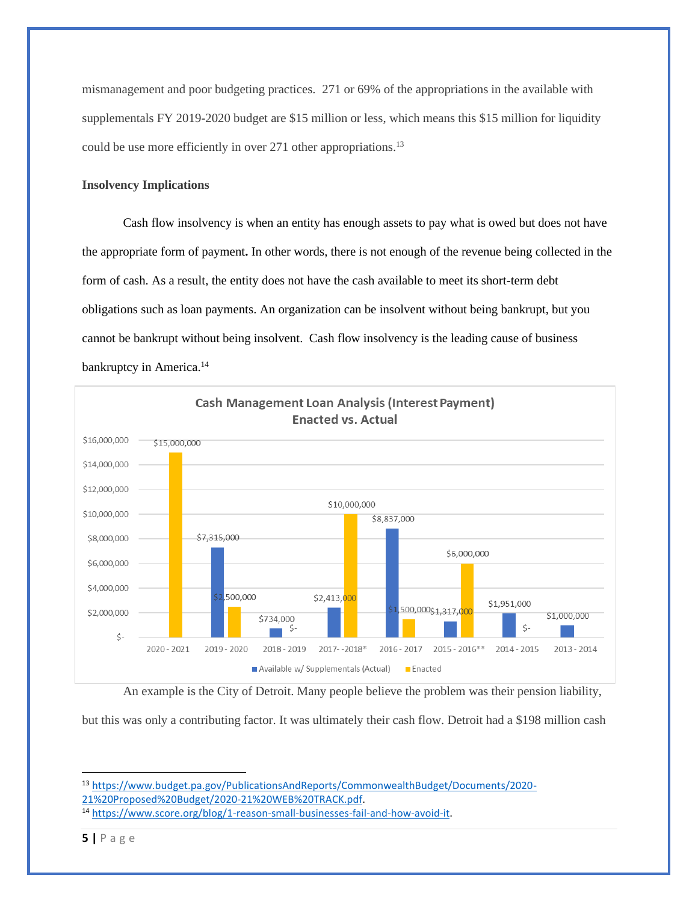mismanagement and poor budgeting practices. 271 or 69% of the appropriations in the available with supplementals FY 2019-2020 budget are \$15 million or less, which means this \$15 million for liquidity could be use more efficiently in over 271 other appropriations.<sup>13</sup>

## **Insolvency Implications**

Cash flow insolvency is when an entity has enough assets to pay what is owed but does not have the appropriate form of payment**.** In other words, there is not enough of the revenue being collected in the form of cash. As a result, the entity does not have the cash available to meet its short-term debt obligations such as loan payments. An organization can be insolvent without being bankrupt, but you cannot be bankrupt without being insolvent. Cash flow insolvency is the leading cause of business bankruptcy in America.<sup>14</sup>



An example is the City of Detroit. Many people believe the problem was their pension liability,

but this was only a contributing factor. It was ultimately their cash flow. Detroit had a \$198 million cash

<sup>13</sup> [https://www.budget.pa.gov/PublicationsAndReports/CommonwealthBudget/Documents/2020-](https://www.budget.pa.gov/PublicationsAndReports/CommonwealthBudget/Documents/2020-21%20Proposed%20Budget/2020-21%20WEB%20TRACK.pdf) [21%20Proposed%20Budget/2020-21%20WEB%20TRACK.pdf.](https://www.budget.pa.gov/PublicationsAndReports/CommonwealthBudget/Documents/2020-21%20Proposed%20Budget/2020-21%20WEB%20TRACK.pdf)

<sup>14</sup> [https://www.score.org/blog/1-reason-small-businesses-fail-and-how-avoid-it.](https://www.score.org/blog/1-reason-small-businesses-fail-and-how-avoid-it)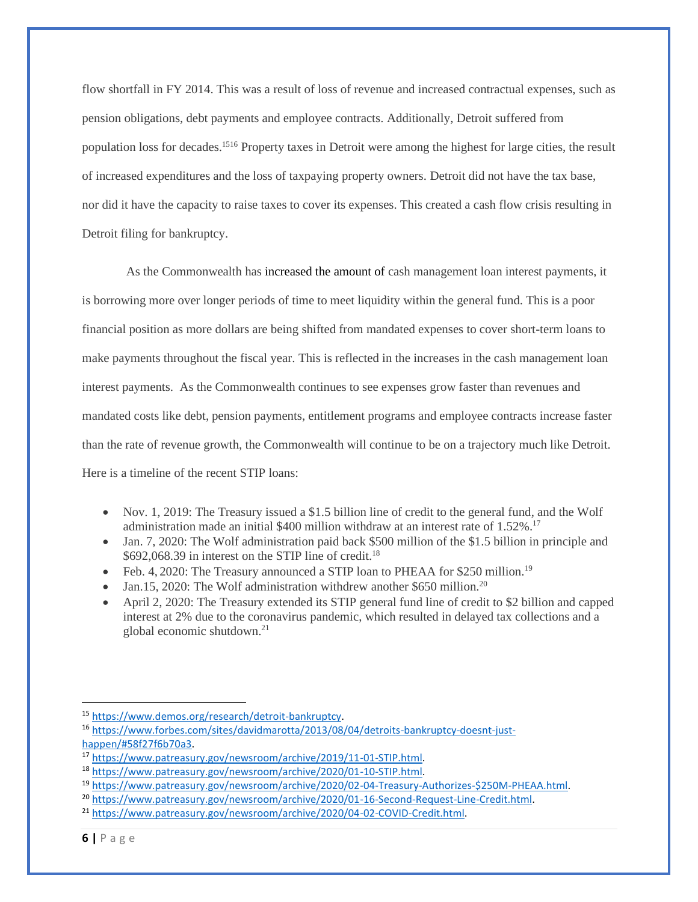flow shortfall in FY 2014. This was a result of loss of revenue and increased contractual expenses, such as pension obligations, debt payments and employee contracts. Additionally, Detroit suffered from population loss for decades.<sup>1516</sup> Property taxes in Detroit were among the highest for large cities, the result of increased expenditures and the loss of taxpaying property owners. Detroit did not have the tax base, nor did it have the capacity to raise taxes to cover its expenses. This created a cash flow crisis resulting in Detroit filing for bankruptcy.

As the Commonwealth has increased the amount of cash management loan interest payments, it is borrowing more over longer periods of time to meet liquidity within the general fund. This is a poor financial position as more dollars are being shifted from mandated expenses to cover short-term loans to make payments throughout the fiscal year. This is reflected in the increases in the cash management loan interest payments. As the Commonwealth continues to see expenses grow faster than revenues and mandated costs like debt, pension payments, entitlement programs and employee contracts increase faster than the rate of revenue growth, the Commonwealth will continue to be on a trajectory much like Detroit. Here is a timeline of the recent STIP loans:

- Nov. 1, 2019: The Treasury issued a \$1.5 billion line of credit to the general fund, and the Wolf administration made an initial \$400 million withdraw at an interest rate of 1.52%. 17
- Jan. 7, 2020: The Wolf administration paid back \$500 million of the \$1.5 billion in principle and  $$692,068.39$  in interest on the STIP line of credit.<sup>18</sup>
- Feb. 4, 2020: The Treasury announced a STIP loan to PHEAA for \$250 million.<sup>19</sup>
- Jan.15, 2020: The Wolf administration withdrew another \$650 million.<sup>20</sup>
- April 2, 2020: The Treasury extended its STIP general fund line of credit to \$2 billion and capped interest at 2% due to the coronavirus pandemic, which resulted in delayed tax collections and a global economic shutdown.<sup>21</sup>

<sup>15</sup> [https://www.demos.org/research/detroit-bankruptcy.](https://www.demos.org/research/detroit-bankruptcy)

<sup>16</sup> [https://www.forbes.com/sites/davidmarotta/2013/08/04/detroits-bankruptcy-doesnt-just](https://www.forbes.com/sites/davidmarotta/2013/08/04/detroits-bankruptcy-doesnt-just-happen/#58f27f6b70a3)[happen/#58f27f6b70a3.](https://www.forbes.com/sites/davidmarotta/2013/08/04/detroits-bankruptcy-doesnt-just-happen/#58f27f6b70a3) 

<sup>17</sup> [https://www.patreasury.gov/newsroom/archive/2019/11-01-STIP.html.](https://www.patreasury.gov/newsroom/archive/2019/11-01-STIP.html)

<sup>18</sup> [https://www.patreasury.gov/newsroom/archive/2020/01-10-STIP.html.](https://www.patreasury.gov/newsroom/archive/2020/01-10-STIP.html)

<sup>19</sup> [https://www.patreasury.gov/newsroom/archive/2020/02-04-Treasury-Authorizes-\\$250M-PHEAA.html.](https://www.patreasury.gov/newsroom/archive/2020/02-04-Treasury-Authorizes-$250M-PHEAA.html) 

<sup>&</sup>lt;sup>20</sup> [https://www.patreasury.gov/newsroom/archive/2020/01-16-Second-Request-Line-Credit.html.](https://www.patreasury.gov/newsroom/archive/2020/01-16-Second-Request-Line-Credit.html)

<sup>21</sup> [https://www.patreasury.gov/newsroom/archive/2020/04-02-COVID-Credit.html.](https://www.patreasury.gov/newsroom/archive/2020/04-02-COVID-Credit.html)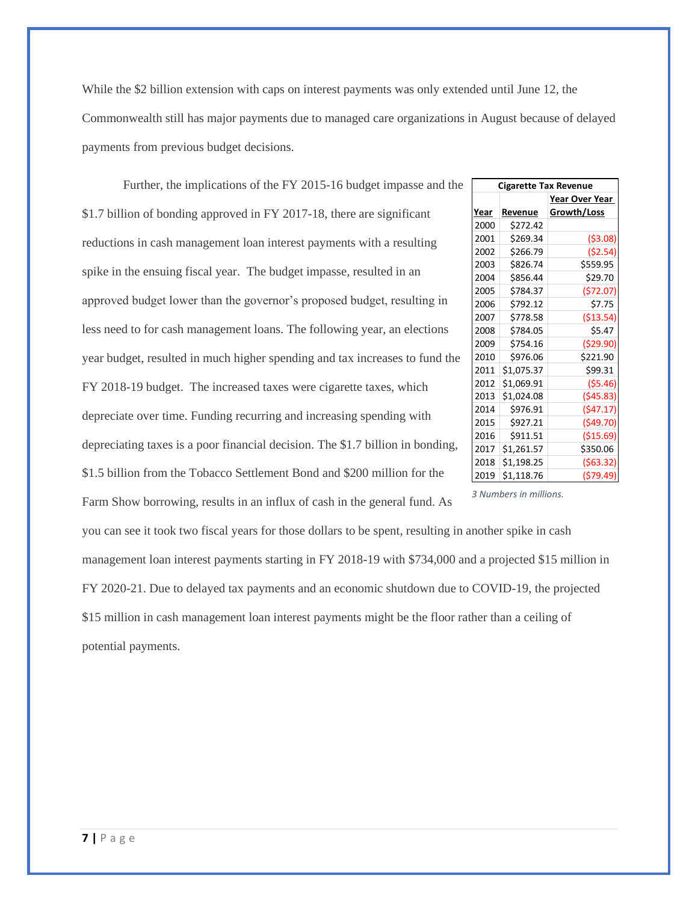While the \$2 billion extension with caps on interest payments was only extended until June 12, the Commonwealth still has major payments due to managed care organizations in August because of delayed payments from previous budget decisions.

Further, the implications of the FY 2015-16 budget impasse and the \$1.7 billion of bonding approved in FY 2017-18, there are significant reductions in cash management loan interest payments with a resulting spike in the ensuing fiscal year. The budget impasse, resulted in an approved budget lower than the governor's proposed budget, resulting in less need to for cash management loans. The following year, an elections year budget, resulted in much higher spending and tax increases to fund the FY 2018-19 budget. The increased taxes were cigarette taxes, which depreciate over time. Funding recurring and increasing spending with depreciating taxes is a poor financial decision. The \$1.7 billion in bonding, \$1.5 billion from the Tobacco Settlement Bond and \$200 million for the Farm Show borrowing, results in an influx of cash in the general fund. As

| <b>Cigarette Tax Revenue</b> |            |                |  |  |  |
|------------------------------|------------|----------------|--|--|--|
|                              |            | Year Over Year |  |  |  |
| Year                         | Revenue    | Growth/Loss    |  |  |  |
| 2000                         | \$272.42   |                |  |  |  |
| 2001                         | \$269.34   | ( \$3.08)      |  |  |  |
| 2002                         | \$266.79   | (\$2.54)       |  |  |  |
| 2003                         | \$826.74   | \$559.95       |  |  |  |
| 2004                         | \$856.44   | \$29.70        |  |  |  |
| 2005                         | \$784.37   | (572.07)       |  |  |  |
| 2006                         | \$792.12   | \$7.75         |  |  |  |
| 2007                         | \$778.58   | ( \$13.54)     |  |  |  |
| 2008                         | \$784.05   | \$5.47         |  |  |  |
| 2009                         | \$754.16   | (529.90)       |  |  |  |
| 2010                         | \$976.06   | \$221.90       |  |  |  |
| 2011                         | \$1,075.37 | \$99.31        |  |  |  |
| 2012                         | \$1,069.91 | ( \$5.46)      |  |  |  |
| 2013                         | \$1,024.08 | (545.83)       |  |  |  |
| 2014                         | \$976.91   | (547.17)       |  |  |  |
| 2015                         | \$927.21   | (549.70)       |  |  |  |
| 2016                         | \$911.51   | ( \$15.69)     |  |  |  |
| 2017                         | \$1,261.57 | \$350.06       |  |  |  |
| 2018                         | \$1,198.25 | (563.32)       |  |  |  |
| 2019                         | \$1,118.76 | (579.49)       |  |  |  |

*3 Numbers in millions.*

you can see it took two fiscal years for those dollars to be spent, resulting in another spike in cash management loan interest payments starting in FY 2018-19 with \$734,000 and a projected \$15 million in FY 2020-21. Due to delayed tax payments and an economic shutdown due to COVID-19, the projected \$15 million in cash management loan interest payments might be the floor rather than a ceiling of potential payments.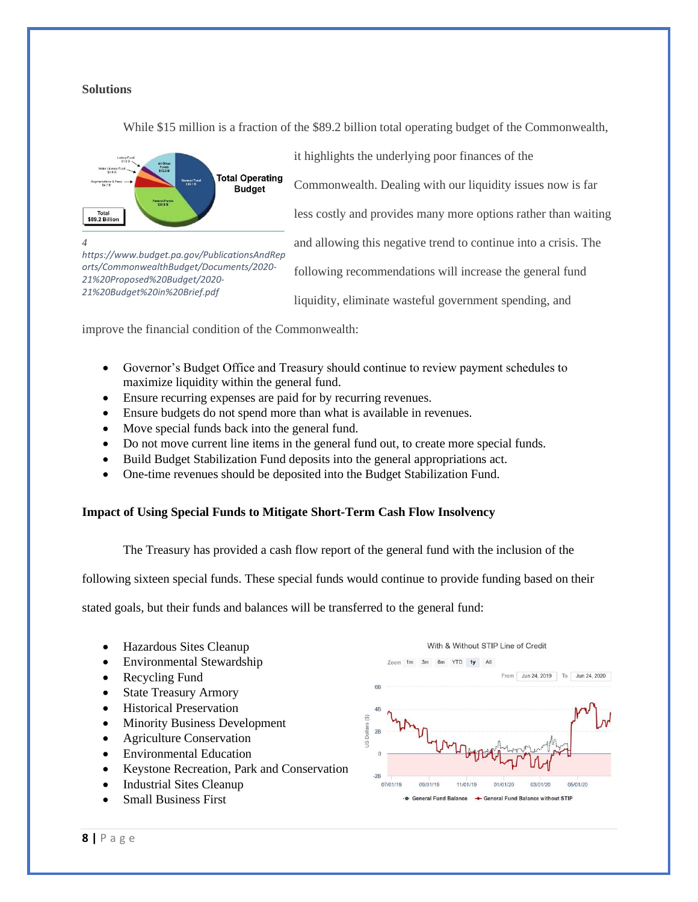### **Solutions**

While \$15 million is a fraction of the \$89.2 billion total operating budget of the Commonwealth,



*https://www.budget.pa.gov/PublicationsAndRep orts/CommonwealthBudget/Documents/2020-*

*21%20Proposed%20Budget/2020- 21%20Budget%20in%20Brief.pdf*

it highlights the underlying poor finances of the

Commonwealth. Dealing with our liquidity issues now is far

less costly and provides many more options rather than waiting

and allowing this negative trend to continue into a crisis. The

following recommendations will increase the general fund

liquidity, eliminate wasteful government spending, and

improve the financial condition of the Commonwealth:

- Governor's Budget Office and Treasury should continue to review payment schedules to maximize liquidity within the general fund.
- Ensure recurring expenses are paid for by recurring revenues.
- Ensure budgets do not spend more than what is available in revenues.
- Move special funds back into the general fund.
- Do not move current line items in the general fund out, to create more special funds.
- Build Budget Stabilization Fund deposits into the general appropriations act.
- One-time revenues should be deposited into the Budget Stabilization Fund.

#### **Impact of Using Special Funds to Mitigate Short-Term Cash Flow Insolvency**

The Treasury has provided a cash flow report of the general fund with the inclusion of the

following sixteen special funds. These special funds would continue to provide funding based on their

stated goals, but their funds and balances will be transferred to the general fund:

- Hazardous Sites Cleanup • Environmental Stewardship
- Recycling Fund
- State Treasury Armory
- Historical Preservation
- **Minority Business Development**
- Agriculture Conservation
- Environmental Education
- Keystone Recreation, Park and Conservation
- Industrial Sites Cleanup
- Small Business First

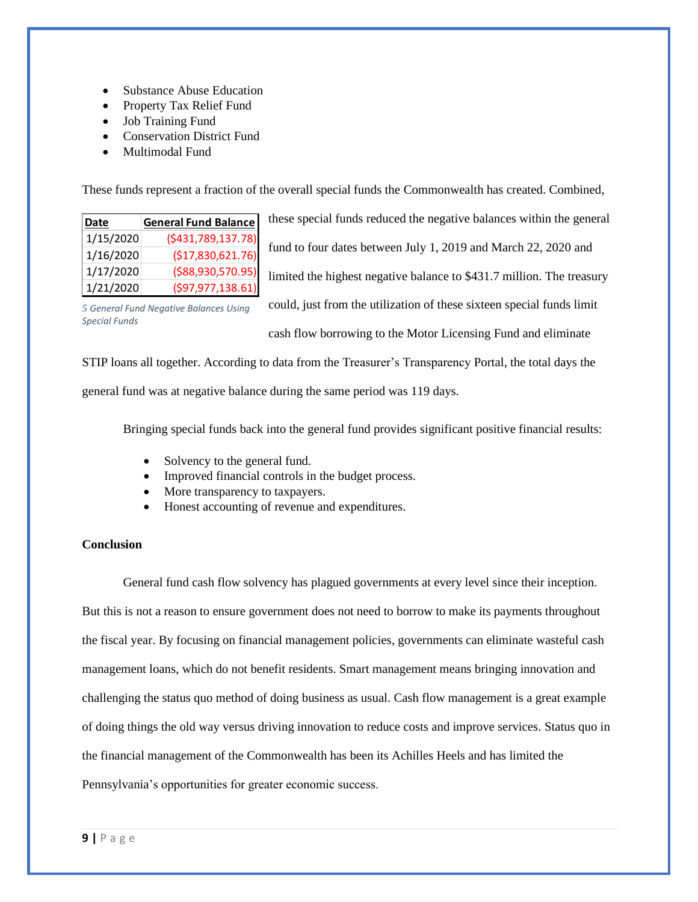- Substance Abuse Education
- Property Tax Relief Fund
- Job Training Fund
- Conservation District Fund
- Multimodal Fund

These funds represent a fraction of the overall special funds the Commonwealth has created. Combined,

| Date      | <b>General Fund Balance</b> |
|-----------|-----------------------------|
| 1/15/2020 | ( \$431,789,137.78)         |
| 1/16/2020 | (\$17,830,621.76)           |
| 1/17/2020 | (\$88,930,570.95)           |
| 1/21/2020 | (597, 977, 138.61)          |

these special funds reduced the negative balances within the general fund to four dates between July 1, 2019 and March 22, 2020 and limited the highest negative balance to \$431.7 million. The treasury could, just from the utilization of these sixteen special funds limit cash flow borrowing to the Motor Licensing Fund and eliminate

*5 General Fund Negative Balances Using Special Funds*

STIP loans all together. According to data from the Treasurer's Transparency Portal, the total days the

general fund was at negative balance during the same period was 119 days.

Bringing special funds back into the general fund provides significant positive financial results:

- Solvency to the general fund.
- Improved financial controls in the budget process.
- More transparency to taxpayers.
- Honest accounting of revenue and expenditures.

## **Conclusion**

General fund cash flow solvency has plagued governments at every level since their inception. But this is not a reason to ensure government does not need to borrow to make its payments throughout the fiscal year. By focusing on financial management policies, governments can eliminate wasteful cash management loans, which do not benefit residents. Smart management means bringing innovation and challenging the status quo method of doing business as usual. Cash flow management is a great example of doing things the old way versus driving innovation to reduce costs and improve services. Status quo in the financial management of the Commonwealth has been its Achilles Heels and has limited the Pennsylvania's opportunities for greater economic success.